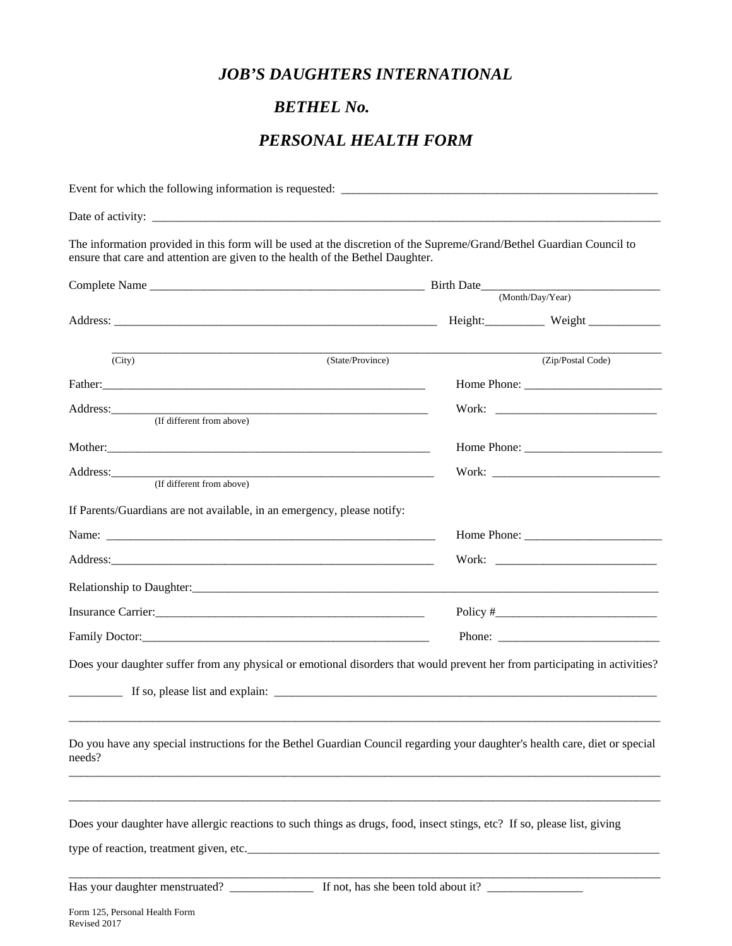## *JOB'S DAUGHTERS INTERNATIONAL*

## *BETHEL No.* **\_\_\_\_\_\_\_\_\_\_**

## *PERSONAL HEALTH FORM*

| The information provided in this form will be used at the discretion of the Supreme/Grand/Bethel Guardian Council to<br>ensure that care and attention are given to the health of the Bethel Daughter.                                                      |                   |  |
|-------------------------------------------------------------------------------------------------------------------------------------------------------------------------------------------------------------------------------------------------------------|-------------------|--|
|                                                                                                                                                                                                                                                             |                   |  |
|                                                                                                                                                                                                                                                             | (Month/Day/Year)  |  |
|                                                                                                                                                                                                                                                             |                   |  |
| (State/Province)<br>(City)                                                                                                                                                                                                                                  | (Zip/Postal Code) |  |
|                                                                                                                                                                                                                                                             |                   |  |
| Address: No. 2014 19:30 and 2015 19:30 and 2016 19:30 and 2017 19:30 and 2017 19:30 and 2017 19:30 and 2017 19:30 and 2017 19:30 and 2017 19:30 and 2017 19:30 and 2017 19:30 and 2017 19:30 and 2017 19:30 and 2017 19:30 and<br>(If different from above) |                   |  |
|                                                                                                                                                                                                                                                             | Home Phone:       |  |
|                                                                                                                                                                                                                                                             |                   |  |
| (If different from above)                                                                                                                                                                                                                                   |                   |  |
| If Parents/Guardians are not available, in an emergency, please notify:                                                                                                                                                                                     |                   |  |
|                                                                                                                                                                                                                                                             |                   |  |
|                                                                                                                                                                                                                                                             |                   |  |
|                                                                                                                                                                                                                                                             |                   |  |
| Insurance Carrier: 1986 and 1987 and 1988 and 1988 and 1988 and 1988 and 1988 and 1988 and 1988 and 1988 and 1988 and 1988 and 1988 and 1988 and 1988 and 1988 and 1988 and 1988 and 1988 and 1988 and 1988 and 1988 and 1988                               |                   |  |
|                                                                                                                                                                                                                                                             |                   |  |
| Does your daughter suffer from any physical or emotional disorders that would prevent her from participating in activities?<br>$\blacksquare$ If so, please list and explain:                                                                               |                   |  |
| Do you have any special instructions for the Bethel Guardian Council regarding your daughter's health care, diet or special<br>needs?                                                                                                                       |                   |  |
| Does your daughter have allergic reactions to such things as drugs, food, insect stings, etc? If so, please list, giving                                                                                                                                    |                   |  |
| Has your daughter menstruated? If not, has she been told about it?                                                                                                                                                                                          |                   |  |
|                                                                                                                                                                                                                                                             |                   |  |